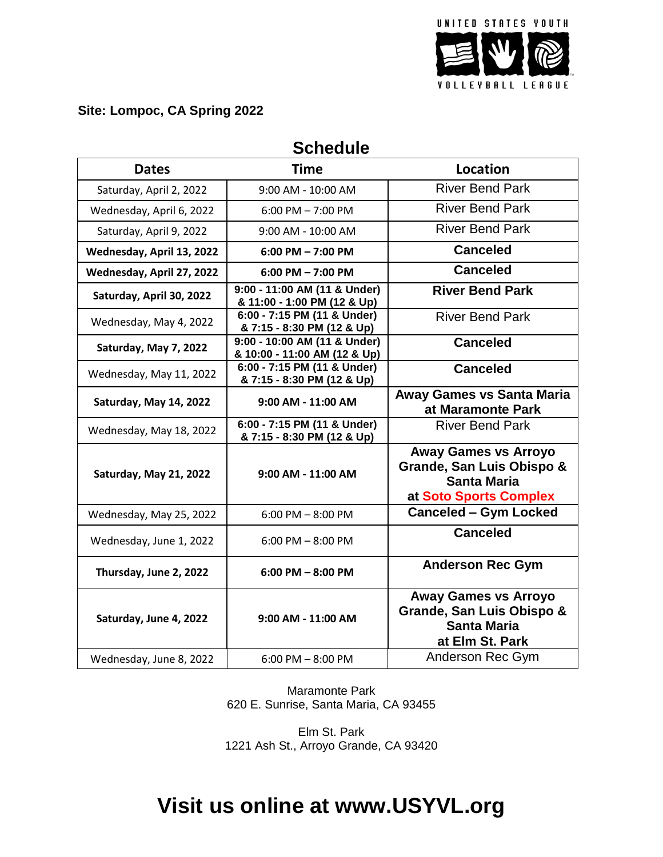

## **Site: Lompoc, CA Spring 2022**

| <b>Dates</b>              | <b>Time</b>                                                  | <b>Location</b>                                                                                          |
|---------------------------|--------------------------------------------------------------|----------------------------------------------------------------------------------------------------------|
| Saturday, April 2, 2022   | 9:00 AM - 10:00 AM                                           | <b>River Bend Park</b>                                                                                   |
| Wednesday, April 6, 2022  | $6:00$ PM $- 7:00$ PM                                        | <b>River Bend Park</b>                                                                                   |
| Saturday, April 9, 2022   | 9:00 AM - 10:00 AM                                           | <b>River Bend Park</b>                                                                                   |
| Wednesday, April 13, 2022 | $6:00$ PM $- 7:00$ PM                                        | <b>Canceled</b>                                                                                          |
| Wednesday, April 27, 2022 | $6:00$ PM $- 7:00$ PM                                        | <b>Canceled</b>                                                                                          |
| Saturday, April 30, 2022  | 9:00 - 11:00 AM (11 & Under)<br>& 11:00 - 1:00 PM (12 & Up)  | <b>River Bend Park</b>                                                                                   |
| Wednesday, May 4, 2022    | 6:00 - 7:15 PM (11 & Under)<br>& 7:15 - 8:30 PM (12 & Up)    | <b>River Bend Park</b>                                                                                   |
| Saturday, May 7, 2022     | 9:00 - 10:00 AM (11 & Under)<br>& 10:00 - 11:00 AM (12 & Up) | <b>Canceled</b>                                                                                          |
| Wednesday, May 11, 2022   | 6:00 - 7:15 PM (11 & Under)<br>& 7:15 - 8:30 PM (12 & Up)    | <b>Canceled</b>                                                                                          |
| Saturday, May 14, 2022    | 9:00 AM - 11:00 AM                                           | <b>Away Games vs Santa Maria</b><br>at Maramonte Park                                                    |
| Wednesday, May 18, 2022   | 6:00 - 7:15 PM (11 & Under)<br>& 7:15 - 8:30 PM (12 & Up)    | <b>River Bend Park</b>                                                                                   |
| Saturday, May 21, 2022    | 9:00 AM - 11:00 AM                                           | <b>Away Games vs Arroyo</b><br>Grande, San Luis Obispo &<br><b>Santa Maria</b><br>at Soto Sports Complex |
| Wednesday, May 25, 2022   | 6:00 PM $-$ 8:00 PM                                          | <b>Canceled - Gym Locked</b>                                                                             |
| Wednesday, June 1, 2022   | $6:00$ PM $-8:00$ PM                                         | <b>Canceled</b>                                                                                          |
| Thursday, June 2, 2022    | $6:00$ PM $-8:00$ PM                                         | <b>Anderson Rec Gym</b>                                                                                  |
| Saturday, June 4, 2022    | 9:00 AM - 11:00 AM                                           | <b>Away Games vs Arroyo</b><br>Grande, San Luis Obispo &<br><b>Santa Maria</b><br>at Elm St. Park        |
| Wednesday, June 8, 2022   | $6:00$ PM $-8:00$ PM                                         | Anderson Rec Gym                                                                                         |

## **Schedule**

Maramonte Park 620 E. Sunrise, Santa Maria, CA 93455

Elm St. Park 1221 Ash St., Arroyo Grande, CA 93420

## **Visit us online at www.USYVL.org**